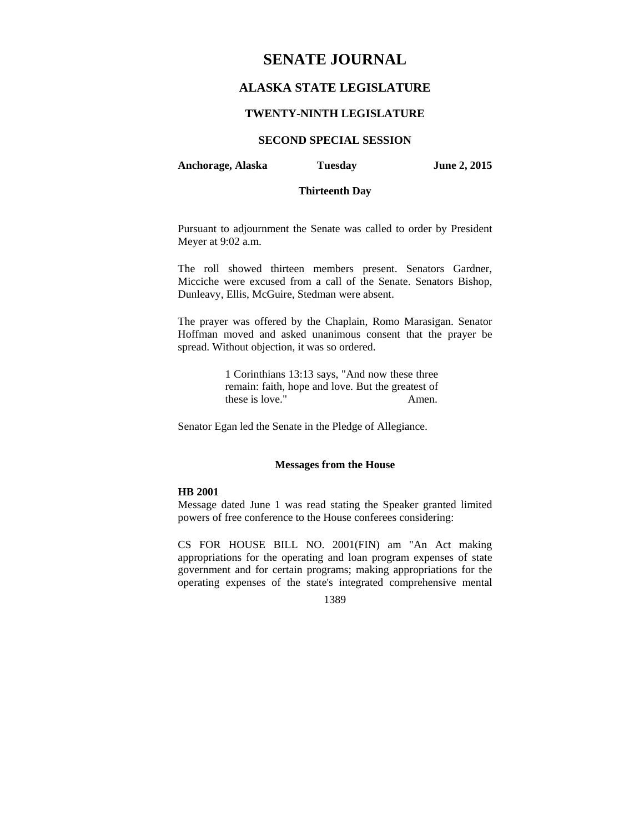# **SENATE JOURNAL**

## **ALASKA STATE LEGISLATURE**

#### **TWENTY-NINTH LEGISLATURE**

### **SECOND SPECIAL SESSION**

**Anchorage, Alaska Tuesday June 2, 2015** 

### **Thirteenth Day**

Pursuant to adjournment the Senate was called to order by President Meyer at 9:02 a.m.

The roll showed thirteen members present. Senators Gardner, Micciche were excused from a call of the Senate. Senators Bishop, Dunleavy, Ellis, McGuire, Stedman were absent.

The prayer was offered by the Chaplain, Romo Marasigan. Senator Hoffman moved and asked unanimous consent that the prayer be spread. Without objection, it was so ordered.

> 1 Corinthians 13:13 says, "And now these three remain: faith, hope and love. But the greatest of these is love." Amen.

Senator Egan led the Senate in the Pledge of Allegiance.

#### **Messages from the House**

#### **HB 2001**

Message dated June 1 was read stating the Speaker granted limited powers of free conference to the House conferees considering:

CS FOR HOUSE BILL NO. 2001(FIN) am "An Act making appropriations for the operating and loan program expenses of state government and for certain programs; making appropriations for the operating expenses of the state's integrated comprehensive mental

#### 1389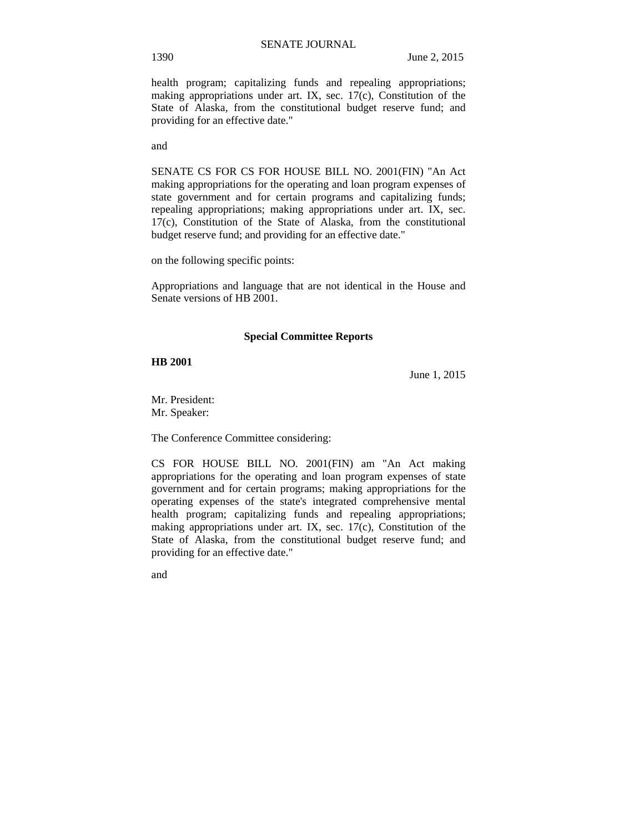health program; capitalizing funds and repealing appropriations; making appropriations under art. IX, sec. 17(c), Constitution of the State of Alaska, from the constitutional budget reserve fund; and providing for an effective date."

and

SENATE CS FOR CS FOR HOUSE BILL NO. 2001(FIN) "An Act making appropriations for the operating and loan program expenses of state government and for certain programs and capitalizing funds; repealing appropriations; making appropriations under art. IX, sec. 17(c), Constitution of the State of Alaska, from the constitutional budget reserve fund; and providing for an effective date."

on the following specific points:

Appropriations and language that are not identical in the House and Senate versions of HB 2001.

#### **Special Committee Reports**

**HB 2001**

June 1, 2015

Mr. President: Mr. Speaker:

The Conference Committee considering:

CS FOR HOUSE BILL NO. 2001(FIN) am "An Act making appropriations for the operating and loan program expenses of state government and for certain programs; making appropriations for the operating expenses of the state's integrated comprehensive mental health program; capitalizing funds and repealing appropriations; making appropriations under art. IX, sec. 17(c), Constitution of the State of Alaska, from the constitutional budget reserve fund; and providing for an effective date."

and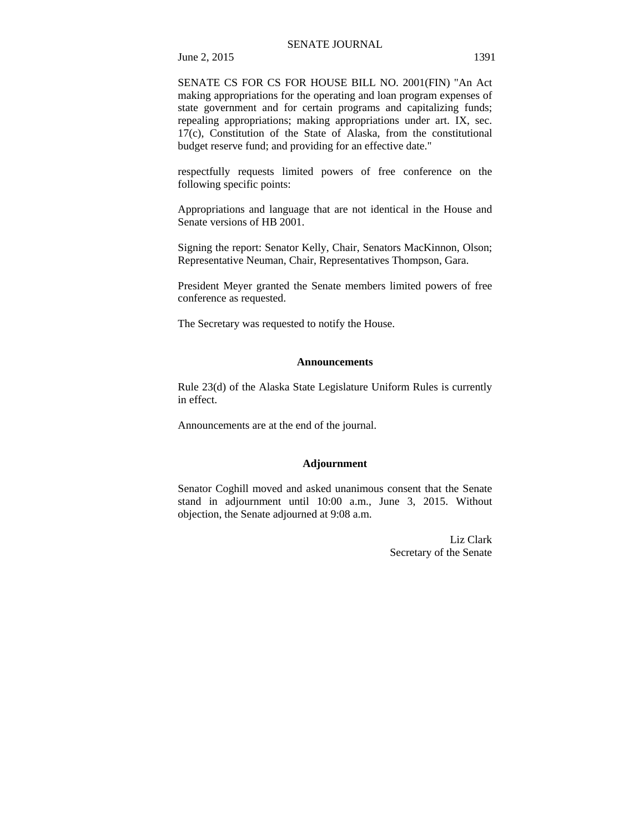June 2, 2015 1391

SENATE CS FOR CS FOR HOUSE BILL NO. 2001(FIN) "An Act making appropriations for the operating and loan program expenses of state government and for certain programs and capitalizing funds; repealing appropriations; making appropriations under art. IX, sec. 17(c), Constitution of the State of Alaska, from the constitutional budget reserve fund; and providing for an effective date."

respectfully requests limited powers of free conference on the following specific points:

Appropriations and language that are not identical in the House and Senate versions of HB 2001.

Signing the report: Senator Kelly, Chair, Senators MacKinnon, Olson; Representative Neuman, Chair, Representatives Thompson, Gara.

President Meyer granted the Senate members limited powers of free conference as requested.

The Secretary was requested to notify the House.

#### **Announcements**

Rule 23(d) of the Alaska State Legislature Uniform Rules is currently in effect.

Announcements are at the end of the journal.

#### **Adjournment**

Senator Coghill moved and asked unanimous consent that the Senate stand in adjournment until 10:00 a.m., June 3, 2015. Without objection, the Senate adjourned at 9:08 a.m.

> Liz Clark Secretary of the Senate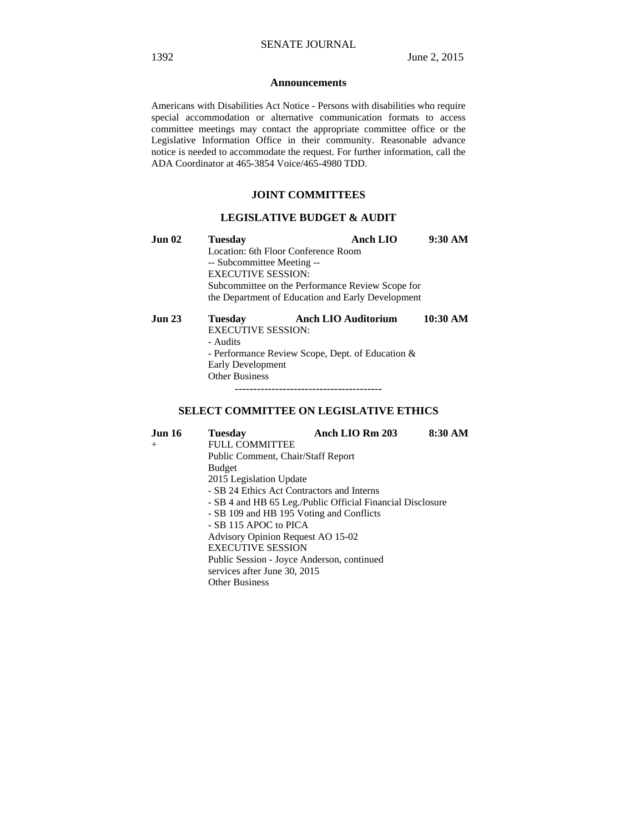#### **Announcements**

Americans with Disabilities Act Notice - Persons with disabilities who require special accommodation or alternative communication formats to access committee meetings may contact the appropriate committee office or the Legislative Information Office in their community. Reasonable advance notice is needed to accommodate the request. For further information, call the ADA Coordinator at 465-3854 Voice/465-4980 TDD.

#### **JOINT COMMITTEES**

### **LEGISLATIVE BUDGET & AUDIT**

| Jun 02 | <b>Tuesday</b>                                    | Anch LIO                   | 9:30 AM  |  |  |
|--------|---------------------------------------------------|----------------------------|----------|--|--|
|        | Location: 6th Floor Conference Room               |                            |          |  |  |
|        | -- Subcommittee Meeting --                        |                            |          |  |  |
|        | <b>EXECUTIVE SESSION:</b>                         |                            |          |  |  |
|        | Subcommittee on the Performance Review Scope for  |                            |          |  |  |
|        | the Department of Education and Early Development |                            |          |  |  |
| Jun 23 | <b>Tuesday</b>                                    | <b>Anch LIO Auditorium</b> | 10:30 AM |  |  |

 EXECUTIVE SESSION: - Audits - Performance Review Scope, Dept. of Education & Early Development Other Business ----------------------------------------

#### **SELECT COMMITTEE ON LEGISLATIVE ETHICS**

**Jun 16 Tuesday Anch LIO Rm 203 8:30 AM**  + FULL COMMITTEE Public Comment, Chair/Staff Report Budget 2015 Legislation Update - SB 24 Ethics Act Contractors and Interns - SB 4 and HB 65 Leg./Public Official Financial Disclosure - SB 109 and HB 195 Voting and Conflicts - SB 115 APOC to PICA Advisory Opinion Request AO 15-02 EXECUTIVE SESSION Public Session - Joyce Anderson, continued services after June 30, 2015 Other Business